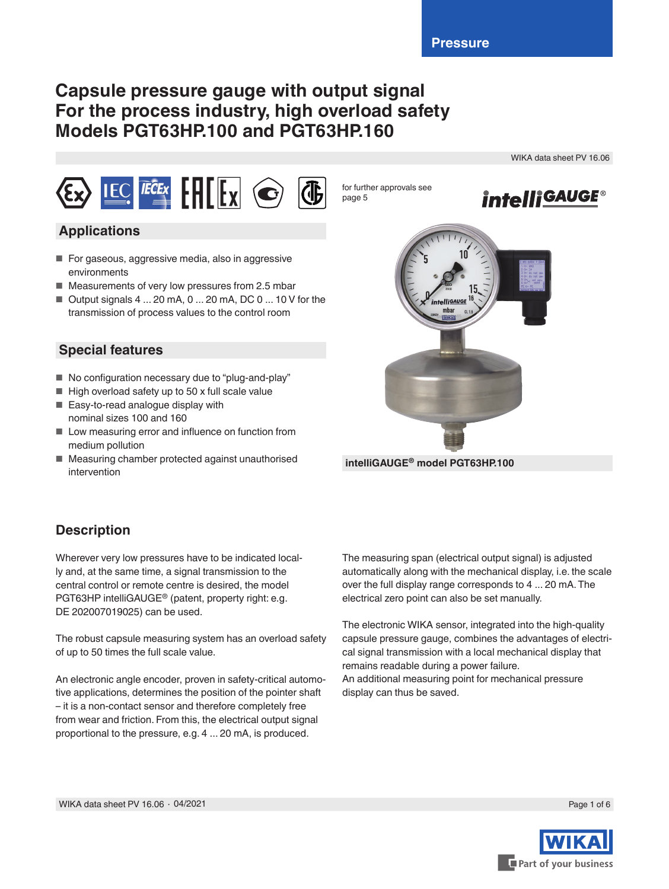# **Capsule pressure gauge with output signal For the process industry, high overload safety Models PGT63HP.100 and PGT63HP.160**

WIKA data sheet PV 16.06



## **Applications**

- For gaseous, aggressive media, also in aggressive environments
- Measurements of very low pressures from 2.5 mbar
- $\blacksquare$  Output signals 4 ... 20 mA, 0 ... 20 mA, DC 0 ... 10 V for the transmission of process values to the control room

## **Special features**

- No configuration necessary due to "plug-and-play"
- $\blacksquare$  High overload safety up to 50 x full scale value
- Easy-to-read analogue display with nominal sizes 100 and 160
- Low measuring error and influence on function from medium pollution
- Measuring chamber protected against unauthorised intervention



**intelliGAUGE® model PGT63HP.100**

for further approvals see

page 5

# **Description**

Wherever very low pressures have to be indicated locally and, at the same time, a signal transmission to the central control or remote centre is desired, the model PGT63HP intelliGAUGE® (patent, property right: e.g. DE 202007019025) can be used.

The robust capsule measuring system has an overload safety of up to 50 times the full scale value.

An electronic angle encoder, proven in safety-critical automotive applications, determines the position of the pointer shaft – it is a non-contact sensor and therefore completely free from wear and friction. From this, the electrical output signal proportional to the pressure, e.g. 4 ... 20 mA, is produced.

The measuring span (electrical output signal) is adjusted automatically along with the mechanical display, i.e. the scale over the full display range corresponds to 4 ... 20 mA. The electrical zero point can also be set manually.

The electronic WIKA sensor, integrated into the high-quality capsule pressure gauge, combines the advantages of electrical signal transmission with a local mechanical display that remains readable during a power failure. An additional measuring point for mechanical pressure display can thus be saved.

Part of your business

Page 1 of 6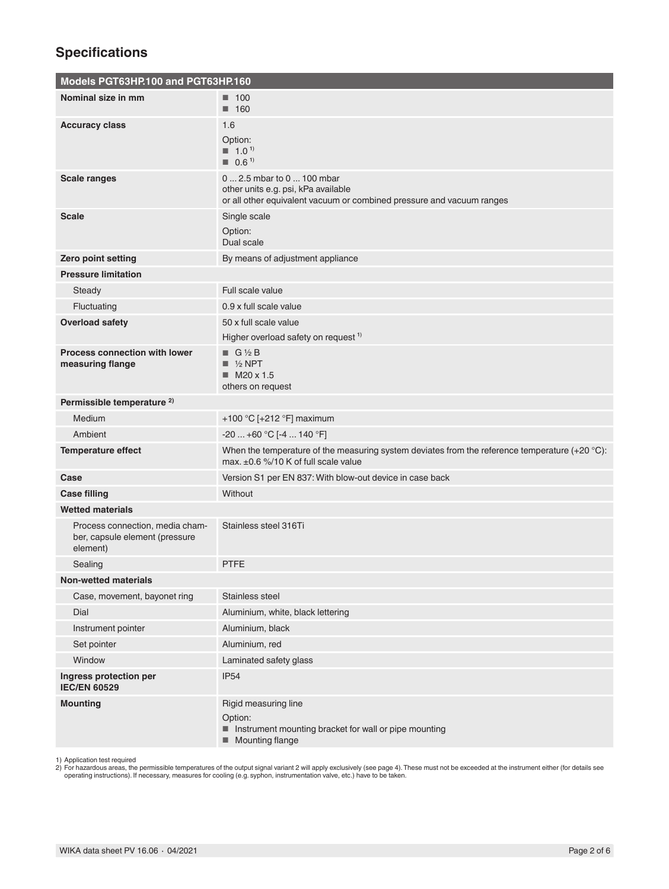# **Specifications**

| Models PGT63HP.100 and PGT63HP.160                                                                                                                                                 |                                                                                                                                            |  |  |  |  |  |
|------------------------------------------------------------------------------------------------------------------------------------------------------------------------------------|--------------------------------------------------------------------------------------------------------------------------------------------|--|--|--|--|--|
| Nominal size in mm                                                                                                                                                                 | $\blacksquare$ 100<br>$\blacksquare$ 160                                                                                                   |  |  |  |  |  |
| <b>Accuracy class</b>                                                                                                                                                              | 1.6<br>Option:<br>$1.0^{1}$<br>$\blacksquare$ 0.6 <sup>1)</sup>                                                                            |  |  |  |  |  |
| <b>Scale ranges</b>                                                                                                                                                                | 0  2.5 mbar to 0  100 mbar<br>other units e.g. psi, kPa available<br>or all other equivalent vacuum or combined pressure and vacuum ranges |  |  |  |  |  |
| Scale                                                                                                                                                                              | Single scale<br>Option:<br>Dual scale                                                                                                      |  |  |  |  |  |
| Zero point setting                                                                                                                                                                 | By means of adjustment appliance                                                                                                           |  |  |  |  |  |
| <b>Pressure limitation</b>                                                                                                                                                         |                                                                                                                                            |  |  |  |  |  |
| Steady                                                                                                                                                                             | Full scale value                                                                                                                           |  |  |  |  |  |
| Fluctuating                                                                                                                                                                        | 0.9 x full scale value                                                                                                                     |  |  |  |  |  |
| <b>Overload safety</b>                                                                                                                                                             | 50 x full scale value                                                                                                                      |  |  |  |  |  |
|                                                                                                                                                                                    | Higher overload safety on request <sup>1)</sup>                                                                                            |  |  |  |  |  |
| <b>Process connection with lower</b><br>measuring flange                                                                                                                           | $\blacksquare$ G 1/2 B<br>$\blacksquare$ 1/2 NPT<br>$M20 \times 1.5$<br>others on request                                                  |  |  |  |  |  |
| Permissible temperature <sup>2)</sup>                                                                                                                                              |                                                                                                                                            |  |  |  |  |  |
| Medium                                                                                                                                                                             | +100 °C [+212 °F] maximum                                                                                                                  |  |  |  |  |  |
| Ambient                                                                                                                                                                            | $-20+60 °C$ [-4  140 °F]                                                                                                                   |  |  |  |  |  |
| When the temperature of the measuring system deviates from the reference temperature $(+20 \degree C)$ :<br><b>Temperature effect</b><br>max. $\pm 0.6$ %/10 K of full scale value |                                                                                                                                            |  |  |  |  |  |
| Case                                                                                                                                                                               | Version S1 per EN 837: With blow-out device in case back                                                                                   |  |  |  |  |  |
| <b>Case filling</b>                                                                                                                                                                | Without                                                                                                                                    |  |  |  |  |  |
| <b>Wetted materials</b>                                                                                                                                                            |                                                                                                                                            |  |  |  |  |  |
| Process connection, media cham-<br>ber, capsule element (pressure<br>element)                                                                                                      | Stainless steel 316Ti                                                                                                                      |  |  |  |  |  |
| Sealing                                                                                                                                                                            | <b>PTFE</b>                                                                                                                                |  |  |  |  |  |
| <b>Non-wetted materials</b>                                                                                                                                                        |                                                                                                                                            |  |  |  |  |  |
| Case, movement, bayonet ring                                                                                                                                                       | Stainless steel                                                                                                                            |  |  |  |  |  |
| Dial                                                                                                                                                                               | Aluminium, white, black lettering                                                                                                          |  |  |  |  |  |
| Instrument pointer                                                                                                                                                                 | Aluminium, black                                                                                                                           |  |  |  |  |  |
| Set pointer                                                                                                                                                                        | Aluminium, red                                                                                                                             |  |  |  |  |  |
| Window                                                                                                                                                                             | Laminated safety glass                                                                                                                     |  |  |  |  |  |
| Ingress protection per<br><b>IEC/EN 60529</b>                                                                                                                                      | <b>IP54</b>                                                                                                                                |  |  |  |  |  |
| <b>Mounting</b>                                                                                                                                                                    | Rigid measuring line<br>Option:<br>Instrument mounting bracket for wall or pipe mounting<br>Mounting flange<br>ш                           |  |  |  |  |  |

1) Application test required<br>2) For hazardous areas, the permissible temperatures of the output signal variant 2 will apply exclusively (see page 4). These must not be exceeded at the instrument either (for details see<br>- ^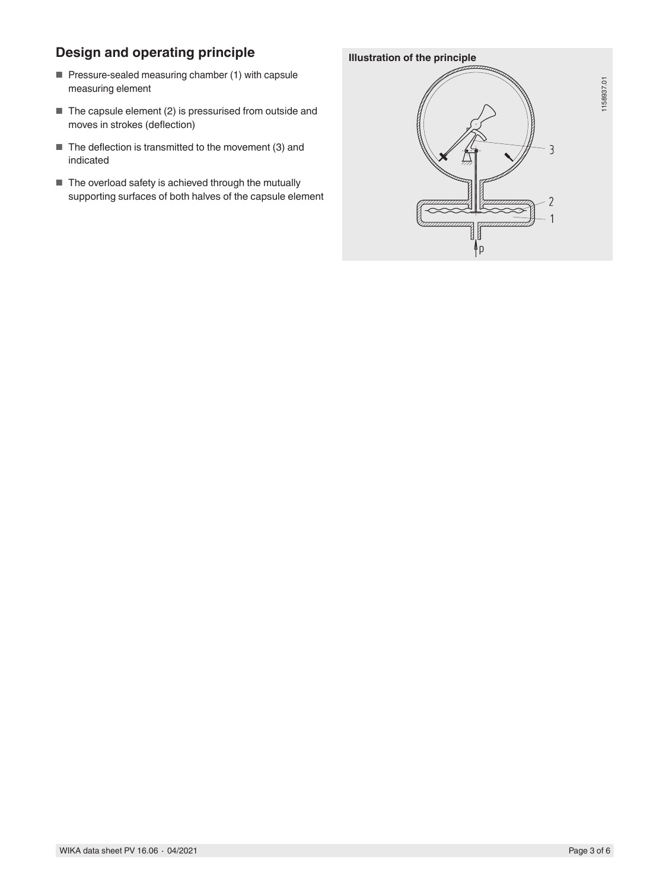# **Design and operating principle**

- Pressure-sealed measuring chamber (1) with capsule measuring element
- The capsule element (2) is pressurised from outside and moves in strokes (deflection)
- The deflection is transmitted to the movement (3) and indicated
- The overload safety is achieved through the mutually supporting surfaces of both halves of the capsule element

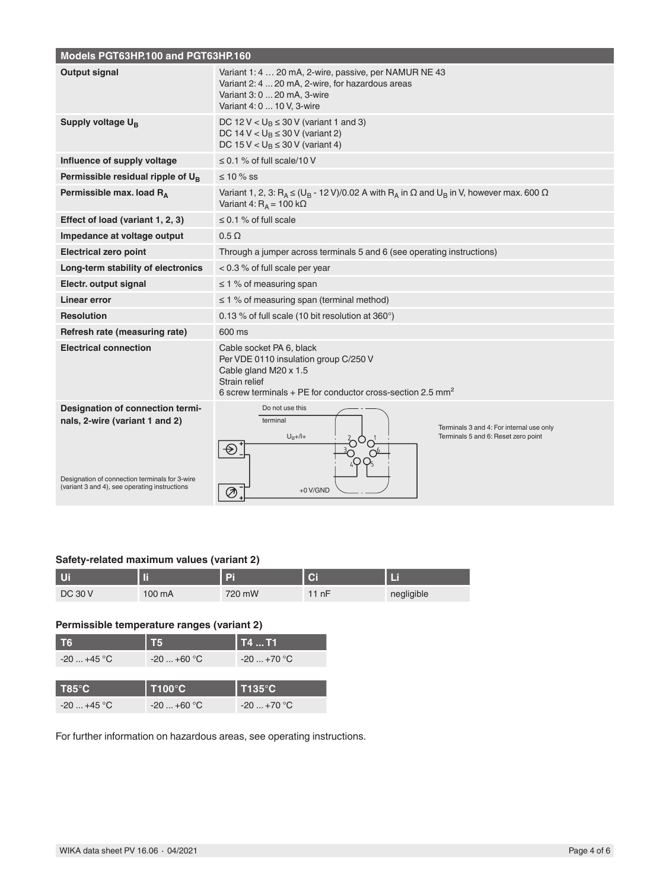| Models PGT63HP.100 and PGT63HP.160                                                                                                                                    |                                                                                                                                                                             |  |  |  |  |  |  |
|-----------------------------------------------------------------------------------------------------------------------------------------------------------------------|-----------------------------------------------------------------------------------------------------------------------------------------------------------------------------|--|--|--|--|--|--|
| Output signal                                                                                                                                                         | Variant 1: 4  20 mA, 2-wire, passive, per NAMUR NE 43<br>Variant 2: 4  20 mA, 2-wire, for hazardous areas<br>Variant 3: 0  20 mA, 3-wire<br>Variant 4: 0  10 V, 3-wire      |  |  |  |  |  |  |
| Supply voltage U <sub>B</sub>                                                                                                                                         | DC 12 V $< U_B \leq 30$ V (variant 1 and 3)<br>DC 14 V < $U_B \le 30$ V (variant 2)<br>DC 15 V < $U_B \le 30$ V (variant 4)                                                 |  |  |  |  |  |  |
| Influence of supply voltage                                                                                                                                           | $\leq$ 0.1 % of full scale/10 V                                                                                                                                             |  |  |  |  |  |  |
| Permissible residual ripple of $U_R$                                                                                                                                  | $\leq 10 \%$ SS                                                                                                                                                             |  |  |  |  |  |  |
| Permissible max. load R <sub>A</sub>                                                                                                                                  | Variant 1, 2, 3: $R_A \leq (U_B - 12 V)/0.02 A$ with $R_A$ in $\Omega$ and $U_B$ in V, however max. 600 $\Omega$<br>Variant 4: $R_A$ = 100 k $\Omega$                       |  |  |  |  |  |  |
| Effect of load (variant 1, 2, 3)                                                                                                                                      | $\leq$ 0.1 % of full scale                                                                                                                                                  |  |  |  |  |  |  |
| Impedance at voltage output                                                                                                                                           | $0.5 \Omega$                                                                                                                                                                |  |  |  |  |  |  |
| <b>Electrical zero point</b>                                                                                                                                          | Through a jumper across terminals 5 and 6 (see operating instructions)                                                                                                      |  |  |  |  |  |  |
| Long-term stability of electronics                                                                                                                                    | $< 0.3$ % of full scale per year                                                                                                                                            |  |  |  |  |  |  |
| Electr. output signal                                                                                                                                                 | $\leq$ 1 % of measuring span                                                                                                                                                |  |  |  |  |  |  |
| Linear error                                                                                                                                                          | $\leq$ 1 % of measuring span (terminal method)                                                                                                                              |  |  |  |  |  |  |
| <b>Resolution</b>                                                                                                                                                     | 0.13 % of full scale (10 bit resolution at 360°)                                                                                                                            |  |  |  |  |  |  |
| Refresh rate (measuring rate)                                                                                                                                         | 600 ms                                                                                                                                                                      |  |  |  |  |  |  |
| <b>Electrical connection</b>                                                                                                                                          | Cable socket PA 6, black<br>Per VDE 0110 insulation group C/250 V<br>Cable gland M20 x 1.5<br>Strain relief<br>6 screw terminals + PE for conductor cross-section 2.5 $mm2$ |  |  |  |  |  |  |
| Designation of connection termi-<br>nals, 2-wire (variant 1 and 2)<br>Designation of connection terminals for 3-wire<br>(variant 3 and 4), see operating instructions | Do not use this<br>terminal<br>Terminals 3 and 4: For internal use only<br>$U_B + / I +$<br>Terminals 5 and 6: Reset zero point<br>$+0$ V/GND<br>⊘                          |  |  |  |  |  |  |

### **Safety-related maximum values (variant 2)**

| U              | . .    | ы      | <b>Ci</b> |            |
|----------------|--------|--------|-----------|------------|
| <b>DC 30 V</b> | 100 mA | 720 mW | 11nF      | negligible |

### **Permissible temperature ranges (variant 2)**

| T <sub>6</sub>  | Т5            | l T4  T1             |
|-----------------|---------------|----------------------|
| $-20+45$ °C     | $-20+60$ °C   | $-20+70$ °C          |
|                 |               |                      |
|                 |               |                      |
| $T85^{\circ}$ C | <b>T100°C</b> | $\overline{1135}$ °C |

For further information on hazardous areas, see operating instructions.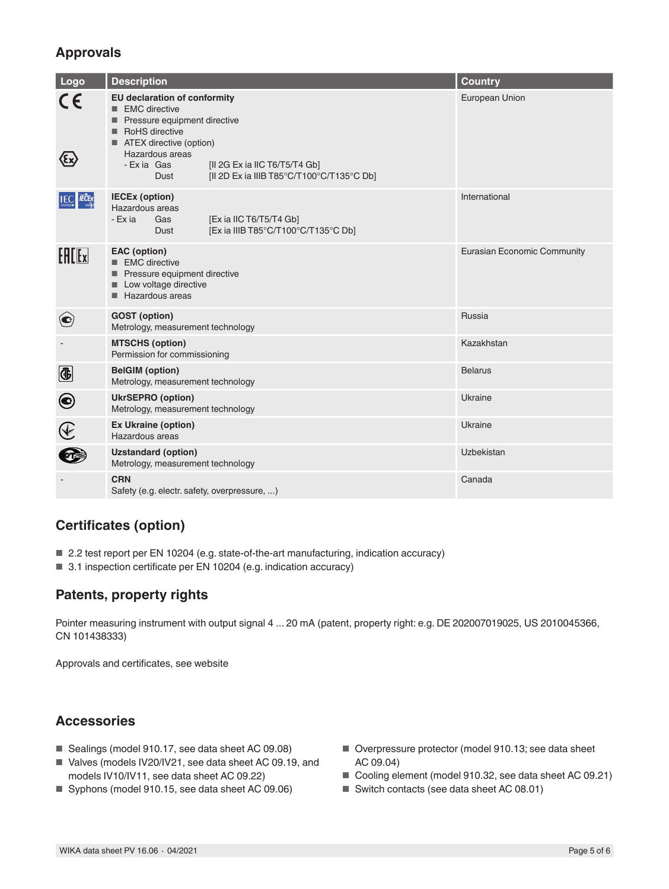# **Approvals**

| Logo                      | <b>Description</b>                                                                                                                                                                                                                                                        | <b>Country</b>              |  |  |
|---------------------------|---------------------------------------------------------------------------------------------------------------------------------------------------------------------------------------------------------------------------------------------------------------------------|-----------------------------|--|--|
|                           | <b>EU declaration of conformity</b><br>$\blacksquare$ EMC directive<br>Pressure equipment directive<br>RoHS directive<br>■ ATEX directive (option)<br>Hazardous areas<br>[II 2G Ex ia IIC T6/T5/T4 Gb]<br>- Exia Gas<br>[II 2D Ex ia IIIB T85°C/T100°C/T135°C Db]<br>Dust | European Union              |  |  |
| <b>IEC FECEX</b>          | <b>IECEx (option)</b><br>Hazardous areas<br>- Ex ia<br>[Ex ia IIC T6/T5/T4 Gb]<br>Gas<br>[Ex ia IIIB T85°C/T100°C/T135°C Db]<br>Dust                                                                                                                                      | International               |  |  |
| $F = F$                   | <b>EAC</b> (option)<br>■ EMC directive<br>Pressure equipment directive<br>Low voltage directive<br>Hazardous areas                                                                                                                                                        | Eurasian Economic Community |  |  |
| $\left( \bigodot \right)$ | <b>GOST</b> (option)<br>Metrology, measurement technology                                                                                                                                                                                                                 | Russia                      |  |  |
|                           | <b>MTSCHS (option)</b><br>Permission for commissioning                                                                                                                                                                                                                    | Kazakhstan                  |  |  |
| $\bigcirc$                | <b>BelGIM</b> (option)<br>Metrology, measurement technology                                                                                                                                                                                                               | <b>Belarus</b>              |  |  |
| $\boldsymbol{\odot}$      | <b>UkrSEPRO (option)</b><br>Metrology, measurement technology                                                                                                                                                                                                             | Ukraine                     |  |  |
|                           | <b>Ex Ukraine (option)</b><br>Hazardous areas                                                                                                                                                                                                                             | Ukraine                     |  |  |
|                           | <b>Uzstandard (option)</b><br>Metrology, measurement technology                                                                                                                                                                                                           | Uzbekistan                  |  |  |
|                           | <b>CRN</b><br>Safety (e.g. electr. safety, overpressure, )                                                                                                                                                                                                                | Canada                      |  |  |

# **Certificates (option)**

- 2.2 test report per EN 10204 (e.g. state-of-the-art manufacturing, indication accuracy)
- 3.1 inspection certificate per EN 10204 (e.g. indication accuracy)

# **Patents, property rights**

Pointer measuring instrument with output signal 4 ... 20 mA (patent, property right: e.g. DE 202007019025, US 2010045366, CN 101438333)

Approvals and certificates, see website

# **Accessories**

- Sealings (model 910.17, see data sheet AC 09.08)
- Valves (models IV20/IV21, see data sheet AC 09.19, and models IV10/IV11, see data sheet AC 09.22)
- Syphons (model 910.15, see data sheet AC 09.06)
- Overpressure protector (model 910.13; see data sheet AC 09.04)
- Cooling element (model 910.32, see data sheet AC 09.21)
- Switch contacts (see data sheet AC 08.01)